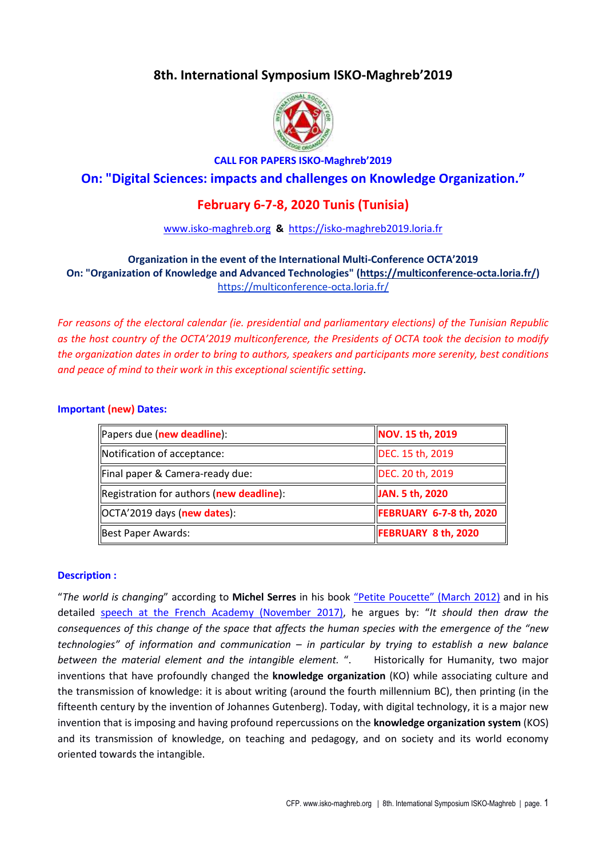# **8th. International Symposium ISKO-Maghreb'2019**



### **CALL FOR PAPERS ISKO-Maghreb'2019**

# **On: "Digital Sciences: impacts and challenges on Knowledge Organization."**

# **February 6-7-8, 2020 Tunis (Tunisia)**

### www.isko-maghreb.org **&** https://isko-maghreb2019.loria.fr

# **Organization in the event of the International Multi-Conference OCTA'2019 On: "Organization of Knowledge and Advanced Technologies" (https://multiconference-octa.loria.fr/)**  https://multiconference-octa.loria.fr/

*For reasons of the electoral calendar (ie. presidential and parliamentary elections) of the Tunisian Republic as the host country of the OCTA'2019 multiconference, the Presidents of OCTA took the decision to modify the organization dates in order to bring to authors, speakers and participants more serenity, best conditions and peace of mind to their work in this exceptional scientific setting*.

### **Important (new) Dates:**

| Papers due (new deadline):               | NOV. 15 th, 2019           |
|------------------------------------------|----------------------------|
| Notification of acceptance:              | DEC. 15 th, 2019           |
| Final paper & Camera-ready due:          | DEC. 20 th, 2019           |
| Registration for authors (new deadline): | JAN. 5 th, 2020            |
| <b>OCTA'2019 days (new dates):</b>       | FEBRUARY 6-7-8 th, 2020    |
| Best Paper Awards:                       | <b>FEBRUARY 8 th, 2020</b> |

### **Description :**

"*The world is changing*" according to **Michel Serres** in his book "Petite Poucette" (March 2012) and in his detailed speech at the French Academy (November 2017), he argues by: "*It should then draw the consequences of this change of the space that affects the human species with the emergence of the "new technologies" of information and communication – in particular by trying to establish a new balance between the material element and the intangible element.* ". Historically for Humanity, two major inventions that have profoundly changed the **knowledge organization** (KO) while associating culture and the transmission of knowledge: it is about writing (around the fourth millennium BC), then printing (in the fifteenth century by the invention of Johannes Gutenberg). Today, with digital technology, it is a major new invention that is imposing and having profound repercussions on the **knowledge organization system** (KOS) and its transmission of knowledge, on teaching and pedagogy, and on society and its world economy oriented towards the intangible.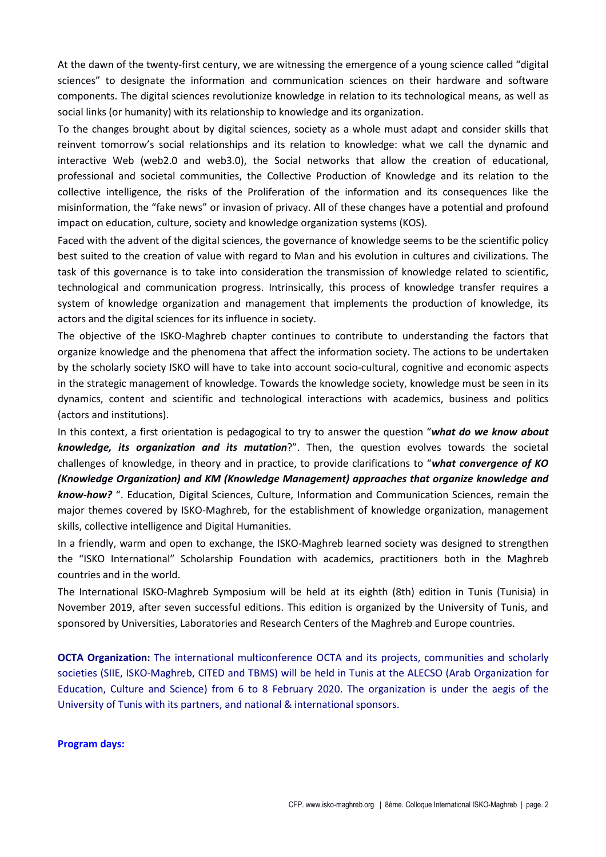At the dawn of the twenty-first century, we are witnessing the emergence of a young science called "digital sciences" to designate the information and communication sciences on their hardware and software components. The digital sciences revolutionize knowledge in relation to its technological means, as well as social links (or humanity) with its relationship to knowledge and its organization.

To the changes brought about by digital sciences, society as a whole must adapt and consider skills that reinvent tomorrow's social relationships and its relation to knowledge: what we call the dynamic and interactive Web (web2.0 and web3.0), the Social networks that allow the creation of educational, professional and societal communities, the Collective Production of Knowledge and its relation to the collective intelligence, the risks of the Proliferation of the information and its consequences like the misinformation, the "fake news" or invasion of privacy. All of these changes have a potential and profound impact on education, culture, society and knowledge organization systems (KOS).

Faced with the advent of the digital sciences, the governance of knowledge seems to be the scientific policy best suited to the creation of value with regard to Man and his evolution in cultures and civilizations. The task of this governance is to take into consideration the transmission of knowledge related to scientific, technological and communication progress. Intrinsically, this process of knowledge transfer requires a system of knowledge organization and management that implements the production of knowledge, its actors and the digital sciences for its influence in society.

The objective of the ISKO-Maghreb chapter continues to contribute to understanding the factors that organize knowledge and the phenomena that affect the information society. The actions to be undertaken by the scholarly society ISKO will have to take into account socio-cultural, cognitive and economic aspects in the strategic management of knowledge. Towards the knowledge society, knowledge must be seen in its dynamics, content and scientific and technological interactions with academics, business and politics (actors and institutions).

In this context, a first orientation is pedagogical to try to answer the question "*what do we know about knowledge, its organization and its mutation*?". Then, the question evolves towards the societal challenges of knowledge, in theory and in practice, to provide clarifications to "*what convergence of KO (Knowledge Organization) and KM (Knowledge Management) approaches that organize knowledge and know-how?* ". Education, Digital Sciences, Culture, Information and Communication Sciences, remain the major themes covered by ISKO-Maghreb, for the establishment of knowledge organization, management skills, collective intelligence and Digital Humanities.

In a friendly, warm and open to exchange, the ISKO-Maghreb learned society was designed to strengthen the "ISKO International" Scholarship Foundation with academics, practitioners both in the Maghreb countries and in the world.

The International ISKO-Maghreb Symposium will be held at its eighth (8th) edition in Tunis (Tunisia) in November 2019, after seven successful editions. This edition is organized by the University of Tunis, and sponsored by Universities, Laboratories and Research Centers of the Maghreb and Europe countries.

**OCTA Organization:** The international multiconference OCTA and its projects, communities and scholarly societies (SIIE, ISKO-Maghreb, CITED and TBMS) will be held in Tunis at the ALECSO (Arab Organization for Education, Culture and Science) from 6 to 8 February 2020. The organization is under the aegis of the University of Tunis with its partners, and national & international sponsors.

### **Program days:**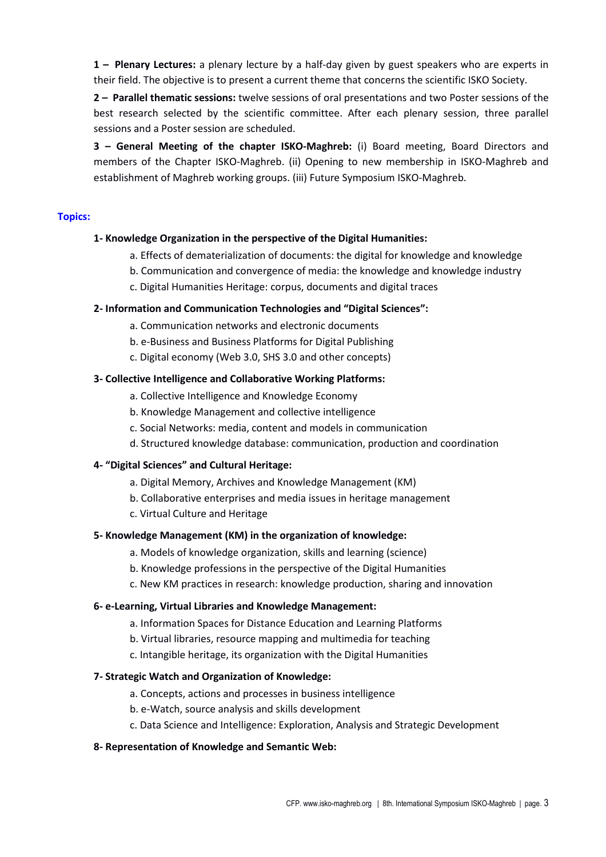**1 – Plenary Lectures:** a plenary lecture by a half-day given by guest speakers who are experts in their field. The objective is to present a current theme that concerns the scientific ISKO Society.

**2 – Parallel thematic sessions:** twelve sessions of oral presentations and two Poster sessions of the best research selected by the scientific committee. After each plenary session, three parallel sessions and a Poster session are scheduled.

**3 – General Meeting of the chapter ISKO-Maghreb:** (i) Board meeting, Board Directors and members of the Chapter ISKO-Maghreb. (ii) Opening to new membership in ISKO-Maghreb and establishment of Maghreb working groups. (iii) Future Symposium ISKO-Maghreb.

### **Topics:**

#### **1- Knowledge Organization in the perspective of the Digital Humanities:**

- a. Effects of dematerialization of documents: the digital for knowledge and knowledge
- b. Communication and convergence of media: the knowledge and knowledge industry
- c. Digital Humanities Heritage: corpus, documents and digital traces

#### **2- Information and Communication Technologies and "Digital Sciences":**

- a. Communication networks and electronic documents
- b. e-Business and Business Platforms for Digital Publishing
- c. Digital economy (Web 3.0, SHS 3.0 and other concepts)

#### **3- Collective Intelligence and Collaborative Working Platforms:**

- a. Collective Intelligence and Knowledge Economy
- b. Knowledge Management and collective intelligence
- c. Social Networks: media, content and models in communication
- d. Structured knowledge database: communication, production and coordination

#### **4- "Digital Sciences" and Cultural Heritage:**

- a. Digital Memory, Archives and Knowledge Management (KM)
- b. Collaborative enterprises and media issues in heritage management
- c. Virtual Culture and Heritage

#### **5- Knowledge Management (KM) in the organization of knowledge:**

- a. Models of knowledge organization, skills and learning (science)
- b. Knowledge professions in the perspective of the Digital Humanities
- c. New KM practices in research: knowledge production, sharing and innovation

#### **6- e-Learning, Virtual Libraries and Knowledge Management:**

- a. Information Spaces for Distance Education and Learning Platforms
- b. Virtual libraries, resource mapping and multimedia for teaching
- c. Intangible heritage, its organization with the Digital Humanities

#### **7- Strategic Watch and Organization of Knowledge:**

- a. Concepts, actions and processes in business intelligence
- b. e-Watch, source analysis and skills development
- c. Data Science and Intelligence: Exploration, Analysis and Strategic Development

#### **8- Representation of Knowledge and Semantic Web:**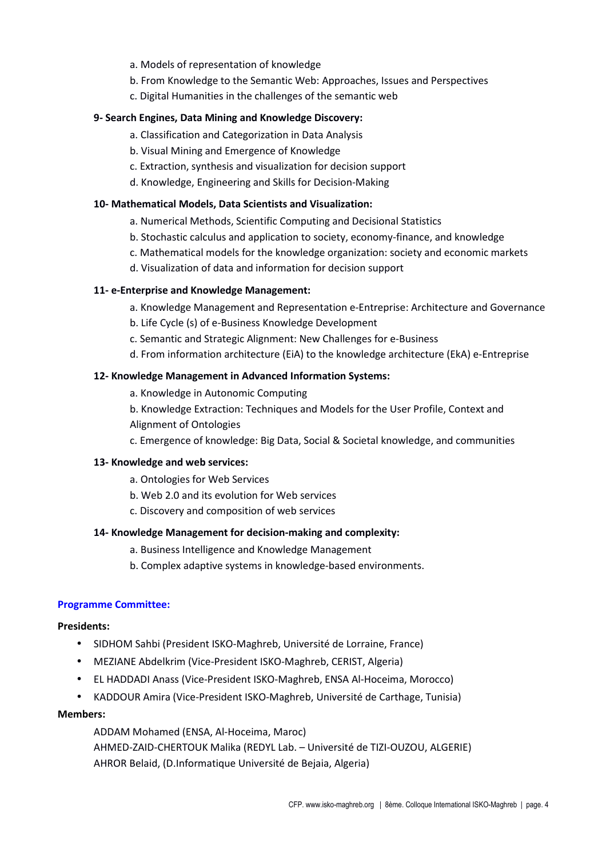- a. Models of representation of knowledge
- b. From Knowledge to the Semantic Web: Approaches, Issues and Perspectives
- c. Digital Humanities in the challenges of the semantic web

### **9- Search Engines, Data Mining and Knowledge Discovery:**

- a. Classification and Categorization in Data Analysis
- b. Visual Mining and Emergence of Knowledge
- c. Extraction, synthesis and visualization for decision support
- d. Knowledge, Engineering and Skills for Decision-Making

### **10- Mathematical Models, Data Scientists and Visualization:**

- a. Numerical Methods, Scientific Computing and Decisional Statistics
- b. Stochastic calculus and application to society, economy-finance, and knowledge
- c. Mathematical models for the knowledge organization: society and economic markets
- d. Visualization of data and information for decision support

### **11- e-Enterprise and Knowledge Management:**

- a. Knowledge Management and Representation e-Entreprise: Architecture and Governance
- b. Life Cycle (s) of e-Business Knowledge Development
- c. Semantic and Strategic Alignment: New Challenges for e-Business
- d. From information architecture (EiA) to the knowledge architecture (EkA) e-Entreprise

### **12- Knowledge Management in Advanced Information Systems:**

- a. Knowledge in Autonomic Computing
- b. Knowledge Extraction: Techniques and Models for the User Profile, Context and Alignment of Ontologies
- c. Emergence of knowledge: Big Data, Social & Societal knowledge, and communities

### **13- Knowledge and web services:**

- a. Ontologies for Web Services
- b. Web 2.0 and its evolution for Web services
- c. Discovery and composition of web services

### **14- Knowledge Management for decision-making and complexity:**

- a. Business Intelligence and Knowledge Management
- b. Complex adaptive systems in knowledge-based environments.

### **Programme Committee:**

### **Presidents:**

- SIDHOM Sahbi (President ISKO-Maghreb, Université de Lorraine, France)
- MEZIANE Abdelkrim (Vice-President ISKO-Maghreb, CERIST, Algeria)
- EL HADDADI Anass (Vice-President ISKO-Maghreb, ENSA Al-Hoceima, Morocco)
- KADDOUR Amira (Vice-President ISKO-Maghreb, Université de Carthage, Tunisia)

### **Members:**

ADDAM Mohamed (ENSA, Al-Hoceima, Maroc) AHMED-ZAID-CHERTOUK Malika (REDYL Lab. – Université de TIZI-OUZOU, ALGERIE) AHROR Belaid, (D.Informatique Université de Bejaia, Algeria)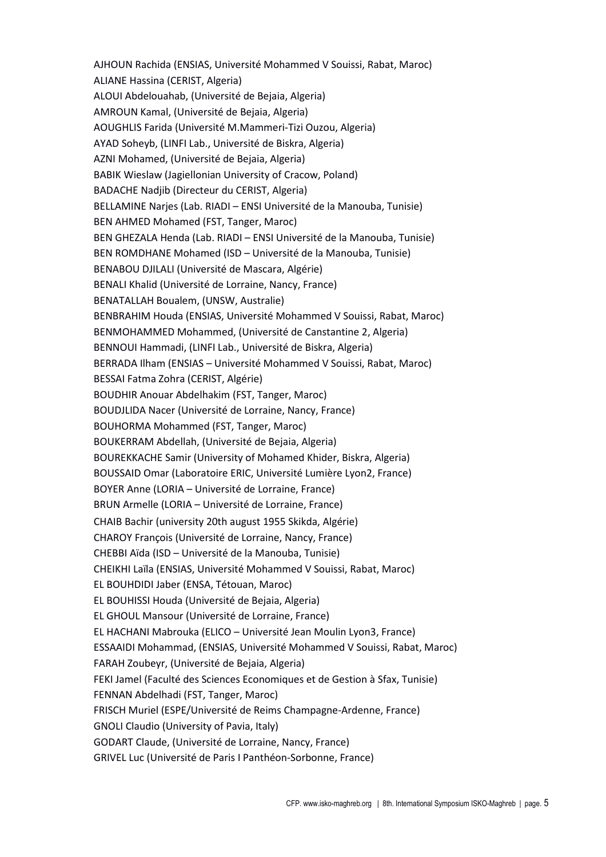AJHOUN Rachida (ENSIAS, Université Mohammed V Souissi, Rabat, Maroc) ALIANE Hassina (CERIST, Algeria) ALOUI Abdelouahab, (Université de Bejaia, Algeria) AMROUN Kamal, (Université de Bejaia, Algeria) AOUGHLIS Farida (Université M.Mammeri-Tizi Ouzou, Algeria) AYAD Soheyb, (LINFI Lab., Université de Biskra, Algeria) AZNI Mohamed, (Université de Bejaia, Algeria) BABIK Wieslaw (Jagiellonian University of Cracow, Poland) BADACHE Nadjib (Directeur du CERIST, Algeria) BELLAMINE Narjes (Lab. RIADI – ENSI Université de la Manouba, Tunisie) BEN AHMED Mohamed (FST, Tanger, Maroc) BEN GHEZALA Henda (Lab. RIADI – ENSI Université de la Manouba, Tunisie) BEN ROMDHANE Mohamed (ISD – Université de la Manouba, Tunisie) BENABOU DJILALI (Université de Mascara, Algérie) BENALI Khalid (Université de Lorraine, Nancy, France) BENATALLAH Boualem, (UNSW, Australie) BENBRAHIM Houda (ENSIAS, Université Mohammed V Souissi, Rabat, Maroc) BENMOHAMMED Mohammed, (Université de Canstantine 2, Algeria) BENNOUI Hammadi, (LINFI Lab., Université de Biskra, Algeria) BERRADA Ilham (ENSIAS – Université Mohammed V Souissi, Rabat, Maroc) BESSAI Fatma Zohra (CERIST, Algérie) BOUDHIR Anouar Abdelhakim (FST, Tanger, Maroc) BOUDJLIDA Nacer (Université de Lorraine, Nancy, France) BOUHORMA Mohammed (FST, Tanger, Maroc) BOUKERRAM Abdellah, (Université de Bejaia, Algeria) BOUREKKACHE Samir (University of Mohamed Khider, Biskra, Algeria) BOUSSAID Omar (Laboratoire ERIC, Université Lumière Lyon2, France) BOYER Anne (LORIA – Université de Lorraine, France) BRUN Armelle (LORIA – Université de Lorraine, France) CHAIB Bachir (university 20th august 1955 Skikda, Algérie) CHAROY François (Université de Lorraine, Nancy, France) CHEBBI Aïda (ISD – Université de la Manouba, Tunisie) CHEIKHI Laïla (ENSIAS, Université Mohammed V Souissi, Rabat, Maroc) EL BOUHDIDI Jaber (ENSA, Tétouan, Maroc) EL BOUHISSI Houda (Université de Bejaia, Algeria) EL GHOUL Mansour (Université de Lorraine, France) EL HACHANI Mabrouka (ELICO – Université Jean Moulin Lyon3, France) ESSAAIDI Mohammad, (ENSIAS, Université Mohammed V Souissi, Rabat, Maroc) FARAH Zoubeyr, (Université de Bejaia, Algeria) FEKI Jamel (Faculté des Sciences Economiques et de Gestion à Sfax, Tunisie) FENNAN Abdelhadi (FST, Tanger, Maroc) FRISCH Muriel (ESPE/Université de Reims Champagne-Ardenne, France) GNOLI Claudio (University of Pavia, Italy) GODART Claude, (Université de Lorraine, Nancy, France) GRIVEL Luc (Université de Paris I Panthéon-Sorbonne, France)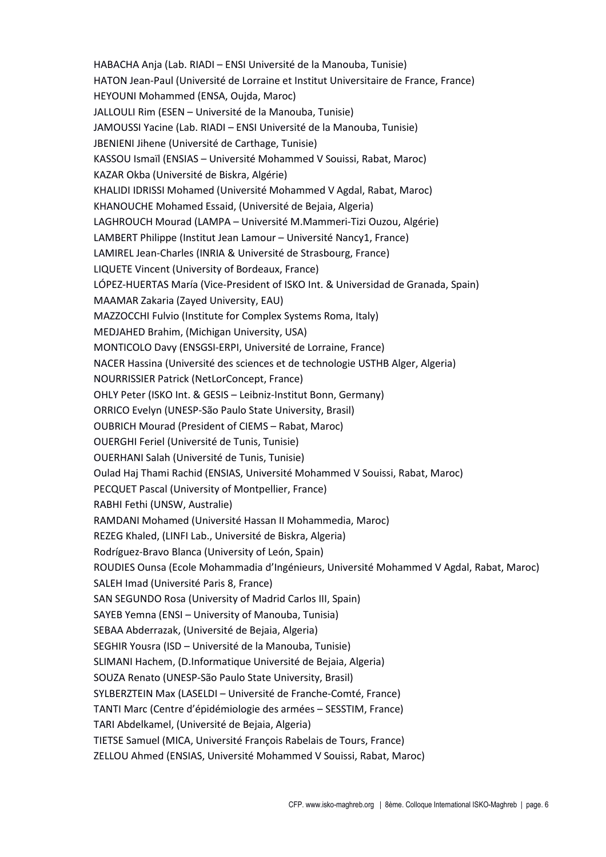HABACHA Anja (Lab. RIADI – ENSI Université de la Manouba, Tunisie) HATON Jean-Paul (Université de Lorraine et Institut Universitaire de France, France) HEYOUNI Mohammed (ENSA, Oujda, Maroc) JALLOULI Rim (ESEN – Université de la Manouba, Tunisie) JAMOUSSI Yacine (Lab. RIADI – ENSI Université de la Manouba, Tunisie) JBENIENI Jihene (Université de Carthage, Tunisie) KASSOU Ismaïl (ENSIAS – Université Mohammed V Souissi, Rabat, Maroc) KAZAR Okba (Université de Biskra, Algérie) KHALIDI IDRISSI Mohamed (Université Mohammed V Agdal, Rabat, Maroc) KHANOUCHE Mohamed Essaid, (Université de Bejaia, Algeria) LAGHROUCH Mourad (LAMPA – Université M.Mammeri-Tizi Ouzou, Algérie) LAMBERT Philippe (Institut Jean Lamour – Université Nancy1, France) LAMIREL Jean-Charles (INRIA & Université de Strasbourg, France) LIQUETE Vincent (University of Bordeaux, France) LÓPEZ-HUERTAS María (Vice-President of ISKO Int. & Universidad de Granada, Spain) MAAMAR Zakaria (Zayed University, EAU) MAZZOCCHI Fulvio (Institute for Complex Systems Roma, Italy) MEDJAHED Brahim, (Michigan University, USA) MONTICOLO Davy (ENSGSI-ERPI, Université de Lorraine, France) NACER Hassina (Université des sciences et de technologie USTHB Alger, Algeria) NOURRISSIER Patrick (NetLorConcept, France) OHLY Peter (ISKO Int. & GESIS – Leibniz-Institut Bonn, Germany) ORRICO Evelyn (UNESP-São Paulo State University, Brasil) OUBRICH Mourad (President of CIEMS – Rabat, Maroc) OUERGHI Feriel (Université de Tunis, Tunisie) OUERHANI Salah (Université de Tunis, Tunisie) Oulad Haj Thami Rachid (ENSIAS, Université Mohammed V Souissi, Rabat, Maroc) PECQUET Pascal (University of Montpellier, France) RABHI Fethi (UNSW, Australie) RAMDANI Mohamed (Université Hassan II Mohammedia, Maroc) REZEG Khaled, (LINFI Lab., Université de Biskra, Algeria) Rodríguez-Bravo Blanca (University of León, Spain) ROUDIES Ounsa (Ecole Mohammadia d'Ingénieurs, Université Mohammed V Agdal, Rabat, Maroc) SALEH Imad (Université Paris 8, France) SAN SEGUNDO Rosa (University of Madrid Carlos III, Spain) SAYEB Yemna (ENSI – University of Manouba, Tunisia) SEBAA Abderrazak, (Université de Bejaia, Algeria) SEGHIR Yousra (ISD – Université de la Manouba, Tunisie) SLIMANI Hachem, (D.Informatique Université de Bejaia, Algeria) SOUZA Renato (UNESP-São Paulo State University, Brasil) SYLBERZTEIN Max (LASELDI – Université de Franche-Comté, France) TANTI Marc (Centre d'épidémiologie des armées – SESSTIM, France) TARI Abdelkamel, (Université de Bejaia, Algeria) TIETSE Samuel (MICA, Université François Rabelais de Tours, France) ZELLOU Ahmed (ENSIAS, Université Mohammed V Souissi, Rabat, Maroc)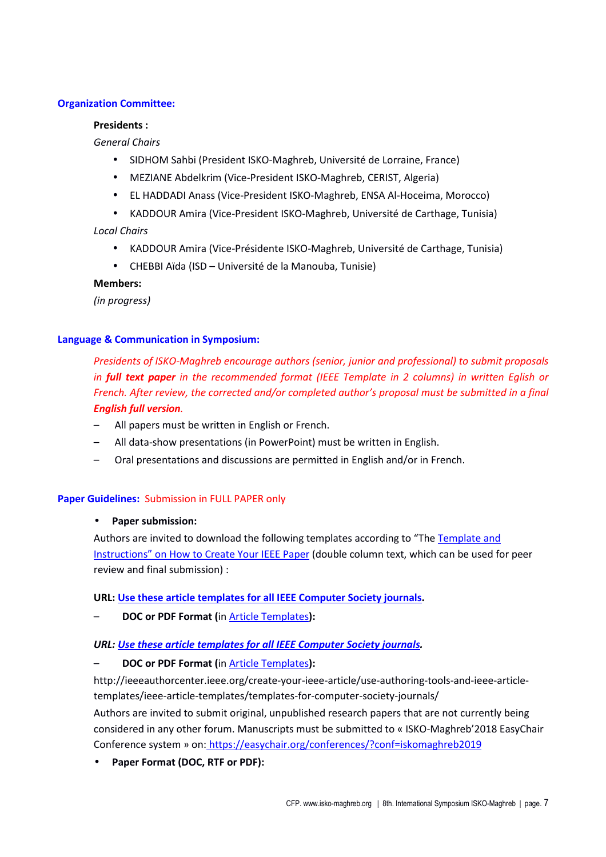### **Organization Committee:**

### **Presidents :**

*General Chairs*

- SIDHOM Sahbi (President ISKO-Maghreb, Université de Lorraine, France)
- MEZIANE Abdelkrim (Vice-President ISKO-Maghreb, CERIST, Algeria)
- EL HADDADI Anass (Vice-President ISKO-Maghreb, ENSA Al-Hoceima, Morocco)
- KADDOUR Amira (Vice-President ISKO-Maghreb, Université de Carthage, Tunisia)

*Local Chairs*

- KADDOUR Amira (Vice-Présidente ISKO-Maghreb, Université de Carthage, Tunisia)
- CHEBBI Aïda (ISD Université de la Manouba, Tunisie)

**Members:** 

*(in progress)*

### **Language & Communication in Symposium:**

*Presidents of ISKO-Maghreb encourage authors (senior, junior and professional) to submit proposals in full text paper in the recommended format (IEEE Template in 2 columns) in written Eglish or French. After review, the corrected and/or completed author's proposal must be submitted in a final English full version.*

- All papers must be written in English or French.
- All data-show presentations (in PowerPoint) must be written in English.
- Oral presentations and discussions are permitted in English and/or in French.

### **Paper Guidelines:** Submission in FULL PAPER only

### • **Paper submission:**

Authors are invited to download the following templates according to "The Template and Instructions" on How to Create Your IEEE Paper (double column text, which can be used for peer review and final submission) :

### **URL: Use these article templates for all IEEE Computer Society journals.**

– **DOC or PDF Format (**in Article Templates**):**

### *URL: Use these article templates for all IEEE Computer Society journals.*

– **DOC or PDF Format (**in Article Templates**):**

http://ieeeauthorcenter.ieee.org/create-your-ieee-article/use-authoring-tools-and-ieee-articletemplates/ieee-article-templates/templates-for-computer-society-journals/ Authors are invited to submit original, unpublished research papers that are not currently being considered in any other forum. Manuscripts must be submitted to « ISKO-Maghreb'2018 EasyChair Conference system » on: https://easychair.org/conferences/?conf=iskomaghreb2019

• **Paper Format (DOC, RTF or PDF):**